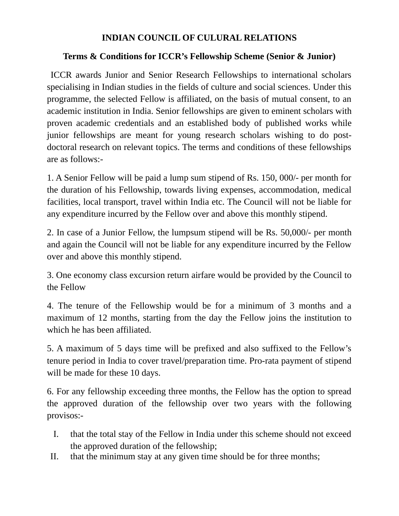## **INDIAN COUNCIL OF CULURAL RELATIONS**

## **Terms & Conditions for ICCR's Fellowship Scheme (Senior & Junior)**

 ICCR awards Junior and Senior Research Fellowships to international scholars specialising in Indian studies in the fields of culture and social sciences. Under this programme, the selected Fellow is affiliated, on the basis of mutual consent, to an academic institution in India. Senior fellowships are given to eminent scholars with proven academic credentials and an established body of published works while junior fellowships are meant for young research scholars wishing to do postdoctoral research on relevant topics. The terms and conditions of these fellowships are as follows:-

1. A Senior Fellow will be paid a lump sum stipend of Rs. 150, 000/- per month for the duration of his Fellowship, towards living expenses, accommodation, medical facilities, local transport, travel within India etc. The Council will not be liable for any expenditure incurred by the Fellow over and above this monthly stipend.

2. In case of a Junior Fellow, the lumpsum stipend will be Rs. 50,000/- per month and again the Council will not be liable for any expenditure incurred by the Fellow over and above this monthly stipend.

3. One economy class excursion return airfare would be provided by the Council to the Fellow

4. The tenure of the Fellowship would be for a minimum of 3 months and a maximum of 12 months, starting from the day the Fellow joins the institution to which he has been affiliated.

5. A maximum of 5 days time will be prefixed and also suffixed to the Fellow's tenure period in India to cover travel/preparation time. Pro-rata payment of stipend will be made for these 10 days.

6. For any fellowship exceeding three months, the Fellow has the option to spread the approved duration of the fellowship over two years with the following provisos:-

- I. that the total stay of the Fellow in India under this scheme should not exceed the approved duration of the fellowship;
- II. that the minimum stay at any given time should be for three months;